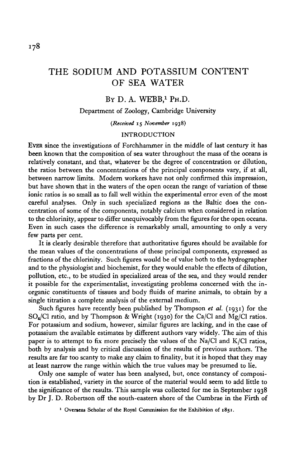# THE SODIUM AND POTASSIUM CONTENT OF SEA WATER

# BY D. A. WEBB,<sup>1</sup> PH.D.

## Department of Zoology, Cambridge University

*(Received* 15 *November* 1938)

## INTRODUCTION

EVER since the investigations of Forchhammer in the middle of last century it has been known that the composition of sea water throughout the mass of the oceans is relatively constant, and that, whatever be the degree of concentration or dilution, the ratios between the concentrations of the principal components vary, if at all, between narrow limits. Modern workers have not only confirmed this impression, but have shown that in the waters of the open ocean the range of variation of these ionic ratios is so small as to fall well within the experimental error even of the most careful analyses. Only in such specialized regions as the Baltic does the concentration of some of the components, notably calcium when considered in relation to the chlorinity, appear to differ unequivocably from the figures for the open oceans. Even in such cases the difference is remarkably small, amounting to only a very few parts per cent.

It is clearly desirable therefore that authoritative figures should be available for the mean values of the concentrations of these principal components, expressed as fractions of the chlorinity. Such figures would be of value both to the hydrographer and to the physiologist and biochemist, for they would enable the effects of dilution, pollution, etc., to be studied in specialized areas of the sea, and they would render it possible for the experimentalist, investigating problems concerned with the inorganic constituents of tissues and body fluids of marine animals, to obtain by a single titration a complete analysis of the external medium.

Such figures have recently been published by Thompson *et al.* (1931) for the SO4/CI ratio, and by Thompson & Wright (1930) for the Ca/Cl and Mg/Cl ratios. For potassium and sodium, however, similar figures are lacking, and in the case of potassium the available estimates by different authors vary widely. The aim of this paper is to attempt to fix more precisely the values of the Na/Cl and K/Cl ratios, both by analysis and by critical discussion of the results of previous authors. The results are far too scanty to make any claim to finality, but it is hoped that they may at least narrow the range within which the true values may be presumed to lie.

Only one sample of water has been analysed, but, once constancy of composition is established, variety in the source of the material would seem to add little to the significance of the results. This sample was collected for me in September 1938 by Dr J. D. Robertson off the south-eastern shore of the Cumbrae in the Firth of

**1 Overseas Scholar of the Royal Commission for the Exhibition of 1851.**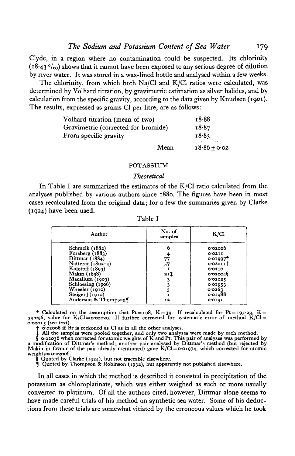Clyde, in a region where no contamination could be suspected. Its chlorinity  $(18.43 \degree/\omega)$  shows that it cannot have been exposed to any serious degree of dilution by river water. It was stored in a wax-lined bottle and analysed within a few weeks.

The chlorinity, from which both Na/Cl and K/Cl ratios were calculated, was determined by Volhard titration, by gravimetric estimation as silver halides, and by calculation from the specific gravity, according to the data given by Knudsen (1901). The results, expressed as grams Cl per litre, are as follows:

| Volhard titration (mean of two)     |      | 18.88            |
|-------------------------------------|------|------------------|
| Gravimetric (corrected for bromide) |      | 18.87            |
| From specific gravity               |      | 18.83            |
|                                     | Mean | $18.86 \pm 0.02$ |

#### POTASSIUM

## *Theoretical*

In Table I are summarized the estimates of the K/Cl ratio calculated from the analyses published by various authors since 1880. The figures have been in most cases recalculated from the original data; for a few the summaries given by Clarke (1924) have been used.

| Author               | No. of<br>samples | K/C1     |
|----------------------|-------------------|----------|
| Schmelk (1882)       | 6                 | 0.02026  |
| Forsberg $(1883)$    |                   | 0.0211   |
| Dittmar (1884)       | 77                | 0.01007  |
| Natterer (1892-4)    | 57                | 0.02011  |
| Kolotoff $(1893)$    |                   | 0'0210   |
| Makin (1898)         | 211               | 0.020049 |
| Macallum (1903)      |                   | 0'02025  |
| Schloesing (1906)    |                   | 0'01053  |
| Wheeler (1910)       |                   | 0.0263   |
| Steiger   (1910)     |                   | 0.01088  |
| Anderson & Thompson¶ | 12                | 0'0101   |

Table I

• Calculated on the assumption that  $Pt = 198$ ,  $K = 39$ . If recalculated for  $Pt = 195.23$ ,  $K = 39.096$ , value for K/Cl = 0.02029. If further corrected for systematic error of method K/Cl = 0.02015 (see text).

o-ozo15 (see text).<br>  $\uparrow$  cozoo8 if Br is reckoned as Cl as in all the other analyses.<br>  $\uparrow$  cozoo8 if Br is reckoned as Cl as in all the other analyses were made by each method.<br>  $\uparrow$  cozoo36 when corrected for atomic

In all cases in which the method is described it consisted in precipitation of the potassium as chloroplatinate, which was either weighed as such or more usually converted to platinum. Of all the authors cited, however, Dittmar alone seems to have made careful trials of his method on synthetic sea water. Some of his deductions from these trials are somewhat vitiated by the erroneous values which he took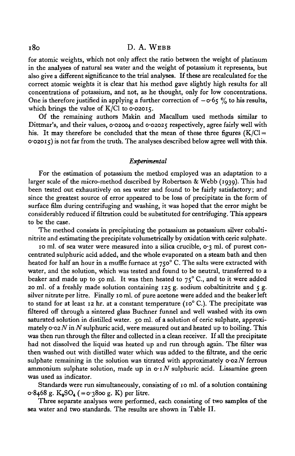for atomic weights, which not only affect the ratio between the weight of platinum in the analyses of natural sea water and the weight of potassium it represents, but also give a different significance to the trial analyses. If these are recalculated for the correct atomic weights it is clear that his method gave slightly high results for all concentrations of potassium, and not, as he thought, only for low concentrations. One is therefore justified in applying a further correction of  $-\sigma$  65 % to his results, which brings the value of  $K/Cl$  to 0.02015.

Of the remaining authors Makin and Macallum used methods similar to Dittmar's, and their values, 0.02004 and 0.02025 respectively, agree fairly well with his. It may therefore be concluded that the mean of these three figures  $(K/C)$  =  $0.02015$ ) is not far from the truth. The analyses described below agree well with this.

## *Experimental*

For the estimation of potassium the method employed was an adaptation to a larger scale of the micro-method described by Robertson & Webb (1939). This had been tested out exhaustively on sea water and found to be fairly satisfactory; and since the greatest source of error appeared to be loss of precipitate in the form of surface film during centrifuging and washing, it was hoped that the error might be considerably reduced if nitration could be substituted for centrifuging. This appears to be the case.

The method consists in precipitating the potassium as potassium silver cobaltinitrite and estimating the precipitate volumetrically by oxidation with eerie sulphate.

10 ml. of sea water were measured into a silica crucible,  $0.3$  ml. of purest concentrated sulphuric acid added, and the whole evaporated on a steam bath and then heated for half an hour in a muffle furnace at 750 $^{\circ}$  C. The salts were extracted with water, and the solution, which was tested and found to be neutral, transferred to a beaker and made up to 50 ml. It was then heated to  $75^{\circ}$  C., and to it were added 20 ml. of a freshly made solution containing 125 g. sodium cobaltinitrite and 5 g. silver nitrate per litre. Finally 10 ml. of pure acetone were added and the beaker left to stand for at least 12 hr. at a constant temperature ( $10^{\circ}$  C.). The precipitate was filtered off through a sintered glass Buchner funnel and well washed with its own saturated solution in distilled water. 50 ml. of a solution of ceric sulphate, approximately 0-02 *NinN* sulphuric acid, were measured out and heated up to boiling. This was then run through the filter and collected in a clean receiver. If all the precipitate had not dissolved the liquid was heated up and run through again. The filter was then washed out with distilled water which was added to the filtrate, and the eerie sulphate remaining in the solution was titrated with approximately *0-02 N* ferrous ammonium sulphate solution, made up in  $\sigma: N$  sulphuric acid. Lissamine green was used as indicator.

Standards were run simultaneously, consisting of 10 ml. of a solution containing  $o.8468$  g. K<sub>2</sub>SO<sub>4</sub> (= $o.3800$  g. K) per litre.

Three separate analyses were performed, each consisting of two samples of the sea water and two standards. The results are shown in Table II.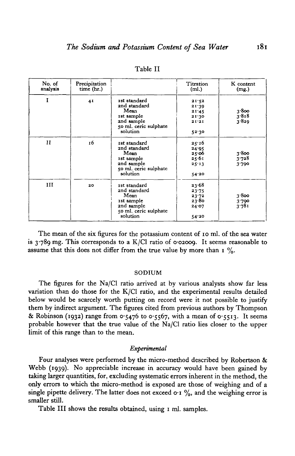| No. of<br>analysis | Precipitation<br>time (hr.) |                                                                                                              | Titration<br>(ml.)                                 | K content<br>(mg.)      |
|--------------------|-----------------------------|--------------------------------------------------------------------------------------------------------------|----------------------------------------------------|-------------------------|
| I                  | 4 <sup>1</sup>              | Ist standard<br>2nd standard<br>Mean<br>1st sample<br>2nd sample<br>50 ml. ceric sulphate<br>solution        | 21:52<br>21.39<br>21.45<br>21.30<br>21'21<br>52.30 | 3.800<br>3.818<br>3.829 |
| $\mathbf{H}$       | 16                          | Ist standard<br>2nd standard<br>Mean<br>1st sample<br>2nd sample<br>50 ml. ceric sulphate<br>solution        | 25.16<br>24.95<br>25.06<br>25.61<br>25.13<br>54.20 | 3.800<br>3.728<br>3.790 |
| Ш                  | 20                          | <b>1st</b> standard<br>2nd standard<br>Mean<br>ist sample<br>2nd sample<br>50 ml. ceric sulphate<br>solution | 23.68<br>23.75<br>23.72<br>23.80<br>24.07<br>54.20 | 3.800<br>3.790<br>3.781 |

Table II

The mean of the six figures for the potassium content of 10 ml. of the sea water is  $3.789$  mg. This corresponds to a K/Cl ratio of 0.02009. It seems reasonable to assume that this does not differ from the true value by more than  $1\%$ .

#### SODIUM

The figures for the Na/Cl ratio arrived at by various analysts show far less variation than do those for the K/Cl ratio, and the experimental results detailed below would be scarcely worth putting on record were it not possible to justify them by indirect argument. The figures cited from previous authors by Thompson & Robinson (1932) range from  $0.5476$  to  $0.5567$ , with a mean of  $0.5513$ . It seems probable however that the true value of the Na/Cl ratio lies closer to the upper limit of this range than to the mean.

## *Experimental*

Four analyses were performed by the micro-method described by Robertson & Webb (1939). No appreciable increase in accuracy would have been gained by taking larger quantities, for, excluding systematic errors inherent in the method, the only errors to which the micro-method is exposed are those of weighing and of a single pipette delivery. The latter does not exceed  $\sigma$  i  $\%$ , and the weighing error is smaller still.

Table III shows the results obtained, using 1 ml. samples.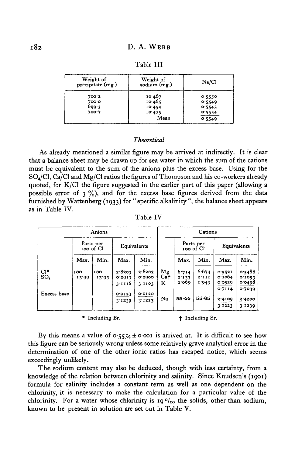| Weight of<br>precipitate (mg.) | Weight of<br>sodium $(mg.)$ | Na/C1  |
|--------------------------------|-----------------------------|--------|
| 700.2                          | 10.467                      | 0.5550 |
| 700.0                          | 10.465                      | 0.5549 |
| 699.3                          | 10.454                      | 0.5543 |
| 700.7                          | 10.475                      | 0.5554 |
|                                | Mean                        | 0.5549 |

## *Theoretical*

As already mentioned a similar figure may be arrived at indirectly. It is clear that a balance sheet may be drawn up for sea water in which the sum of the cations must be equivalent to the sum of the anions plus the excess base. Using for the  $SO_{\text{A}}/Cl$ ,  $Ca/Cl$  and  $Mg/Cl$  ratios the figures of Thompson and his co-workers already quoted, for K/Cl the figure suggested in the earlier part of this paper (allowing a possible error of  $3\frac{9}{0}$ , and for the excess base figures derived from the data furnished by Wattenberg (1933) for "specific alkalinity", the balance sheet appears as in Table IV.

Table IV

|                    |              | Anions                 |                            |                            |                            |                         | Cations                 |                            |                            |
|--------------------|--------------|------------------------|----------------------------|----------------------------|----------------------------|-------------------------|-------------------------|----------------------------|----------------------------|
|                    |              | Parts per<br>100 of Cl |                            | Equivalents                |                            | 100 of Cl               | Parts per               |                            | Equivalents                |
|                    | Max.         | Min.                   | Max.                       | Min.                       |                            | Max.                    | Min.                    | Max.                       | Min.                       |
| $Cl^*$<br>$SO_{4}$ | 100<br>13.00 | 100<br>13.93           | 2.8203<br>0.2913<br>3.1116 | 2.8203<br>0.2900<br>3'1103 | Mg<br>Ca <sup>+</sup><br>ĸ | 6.714<br>2.133<br>2.060 | 6.674<br>2'III<br>1.949 | 0.5521<br>о∙тоб4<br>0.0529 | 0.5488<br>0.1053<br>0.0498 |
| Excess hase        |              |                        | 0.0123<br>3.1239           | 0.0120<br>3'1223           | Na                         | $55 - 44$               | 55.65                   | 0.7114<br>2.4100<br>3.1223 | 0.7039<br>2.4200<br>3.1239 |

\* Including Br. t t Including Sr.

By this means a value of  $0.5554 \pm 0.001$  is arrived at. It is difficult to see how this figure can be seriously wrong unless some relatively grave analytical error in the determination of one of the other ionic ratios has escaped notice, which seems exceedingly unlikely.

The sodium content may also be deduced, though with less certainty, from a knowledge of the relation between chlorinity and salinity. Since Knudsen's (1901) formula for salinity includes a constant term as well as one dependent on the chlorinity, it is necessary to make the calculation for a particular value of the chlorinity. For a water whose chlorinity is 19 $\degree/$ <sub>00</sub> the solids, other than sodium, known to be present in solution are set out in Table V.